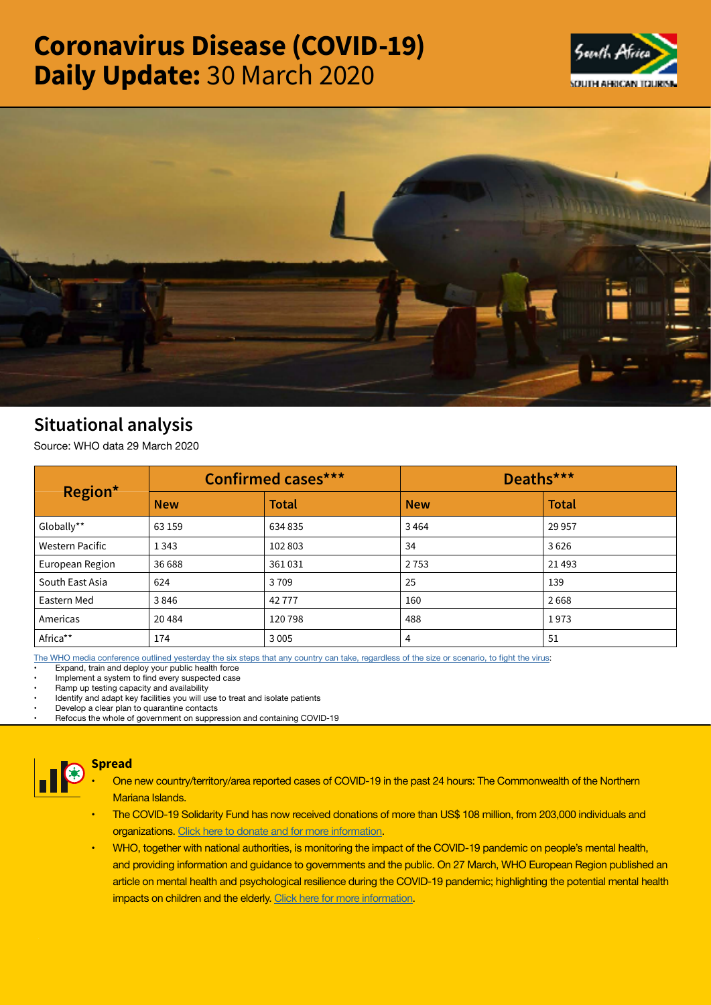# Coronavirus Disease (COVID-19) Daily Update: 30 March 2020





# Situational analysis

Source: WHO data 29 March 2020

| Region*                | <b>Confirmed cases***</b> |              | Deaths***  |              |
|------------------------|---------------------------|--------------|------------|--------------|
|                        | <b>New</b>                | <b>Total</b> | <b>New</b> | <b>Total</b> |
| Globally**             | 63 159                    | 634 835      | 3464       | 29 9 57      |
| <b>Western Pacific</b> | 1 3 4 3                   | 102803       | 34         | 3626         |
| European Region        | 36 688                    | 361031       | 2753       | 21 4 93      |
| South East Asia        | 624                       | 3709         | 25         | 139          |
| Eastern Med            | 3846                      | 42777        | 160        | 2668         |
| Americas               | 20484                     | 120798       | 488        | 1973         |
| Africa**               | 174                       | 3 0 0 5      | 4          | 51           |

[The WHO media conference outlined yesterday the six steps that any country can take, regardless of the size or scenario, to fight the virus](https://t.co/hO7zmZV6m2?amp=1):

Expand, train and deploy your public health force

Implement a system to find every suspected case

• Ramp up testing capacity and availability

• Identify and adapt key facilities you will use to treat and isolate patients

• Develop a clear plan to quarantine contacts

• Refocus the whole of government on suppression and containing COVID-19



## Spread

- One new country/territory/area reported cases of COVID-19 in the past 24 hours: The Commonwealth of the Northern Mariana Islands.
- The COVID-19 Solidarity Fund has now received donations of more than US\$ 108 million, from 203,000 individuals and organizations. [Click here to donate and for more information](https://www.who.int/emergencies/diseases/novel-coronavirus-2019/donate).
- WHO, together with national authorities, is monitoring the impact of the COVID-19 pandemic on people's mental health, and providing information and guidance to governments and the public. On 27 March, WHO European Region published an article on mental health and psychological resilience during the COVID-19 pandemic; highlighting the potential mental health impacts on children and the elderly. [Click here for more information](http://www.euro.who.int/en/health-topics/health-emergencies/coronavirus-covid-19/news/news/2020/3/mental-health-and-psychological-resilience-during-the-covid-19-pandemic).